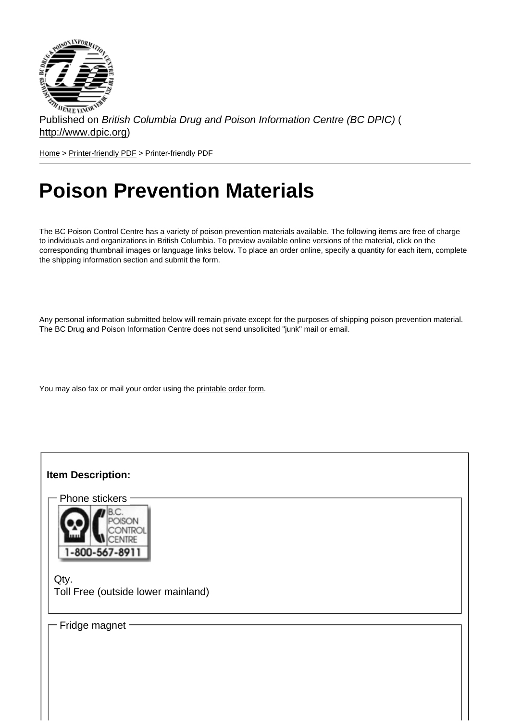Published on British Columbia Drug and Poison Information Centre (BC DPIC) ( http://www.dpic.org)

Home > Printer-friendly PDF > Printer-friendly PDF

# [Po](http://www.dpic.org/)[ison Pre](http://www.dpic.org/printpdf)vention Materials

The BC Poison Control Centre has a variety of poison prevention materials available. The following items are free of charge to individuals and organizations in British Columbia. To preview available online versions of the material, click on the corresponding thumbnail images or language links below. To place an order online, specify a quantity for each item, complete the shipping information section and submit the form.

Any personal information submitted below will remain private except for the purposes of shipping poison prevention material. The BC Drug and Poison Information Centre does not send unsolicited "junk" mail or email.

You may also fax or mail your order using the printable order form.

| Item Description:                          |
|--------------------------------------------|
| Phone stickers                             |
|                                            |
|                                            |
| Qty.<br>Toll Free (outside lower mainland) |
| Fridge magnet                              |
|                                            |
|                                            |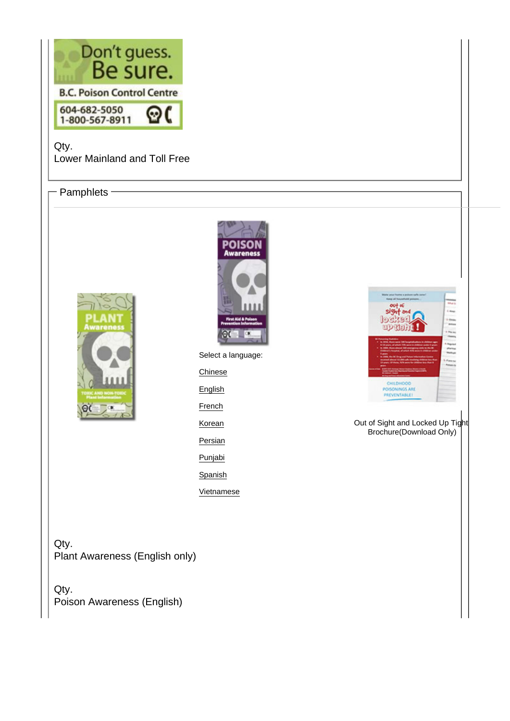Qty. Lower Mainland and Toll Free

#### - Pamphlets -

Select a language: **Chinese** English **French** Korean **Persian** Punjabi **Spanish** Vietnamese

O[ut of Sight and Locked Up Tigh](http://www.dpic.org/sites/default/files/pdf/SafeKidsBrochure_EngforBC_Final.pdf)t Brochure(Download Only)

Qty. Plant Awareness (English only)

Qty. Poison Awareness (English)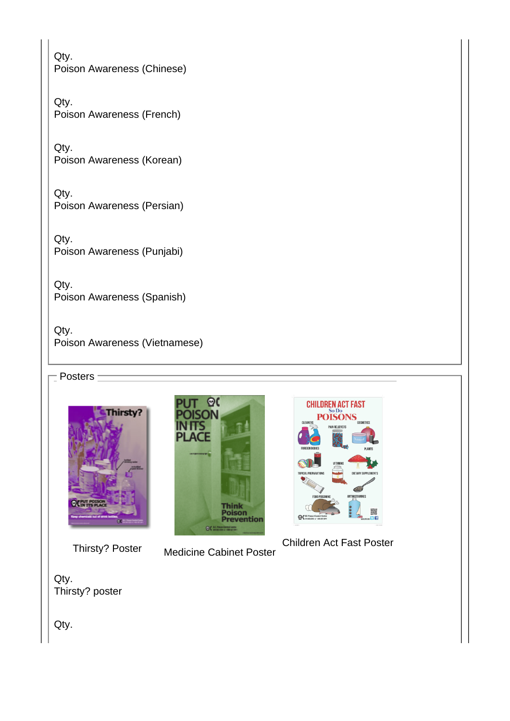Qty. Poison Awareness (Chinese)

Qty. Poison Awareness (French)

Qty. Poison Awareness (Korean)

Qty. Poison Awareness (Persian)

Qty. Poison Awareness (Punjabi)

Qty. Poison Awareness (Spanish)

Qty. Poison Awareness (Vietnamese)

 $-$  Posters  $\pm$ 

[Thirsty? Poster](http://www.dpic.org/sites/default/files/images/thirsty_lg.jpg) M[edicine Cabinet Post](http://www.dpic.org/sites/default/files/images/medcabinet2013.jpg)er

Children Act Fast Poster

Qty. Thirsty? poster

Qty.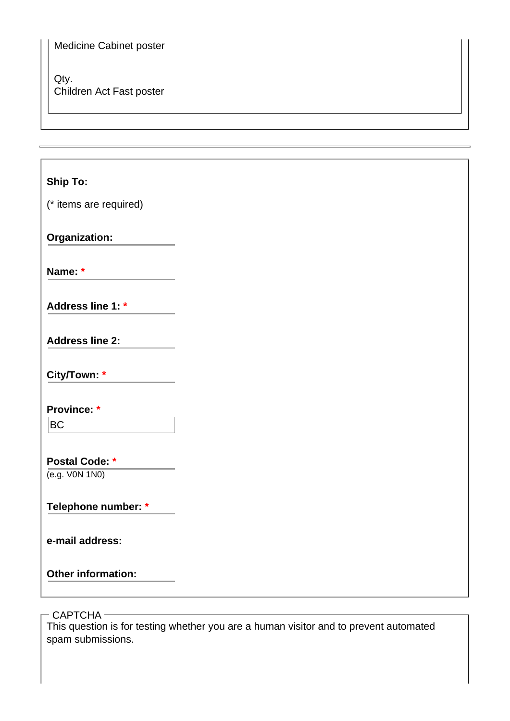### Medicine Cabinet poster

#### Qty. Children Act Fast poster

## **Ship To:**

(\* items are required)

**Organization:**

**Name: \***

**Address line 1: \***

**Address line 2:**

**City/Town: \***

**Province: \***

 $|BC$ 

## **Postal Code: \***

(e.g. V0N 1N0)

## **Telephone number: \***

**e-mail address:**

**Other information:**

- CAPTCHA -

This question is for testing whether you are a human visitor and to prevent automated spam submissions.